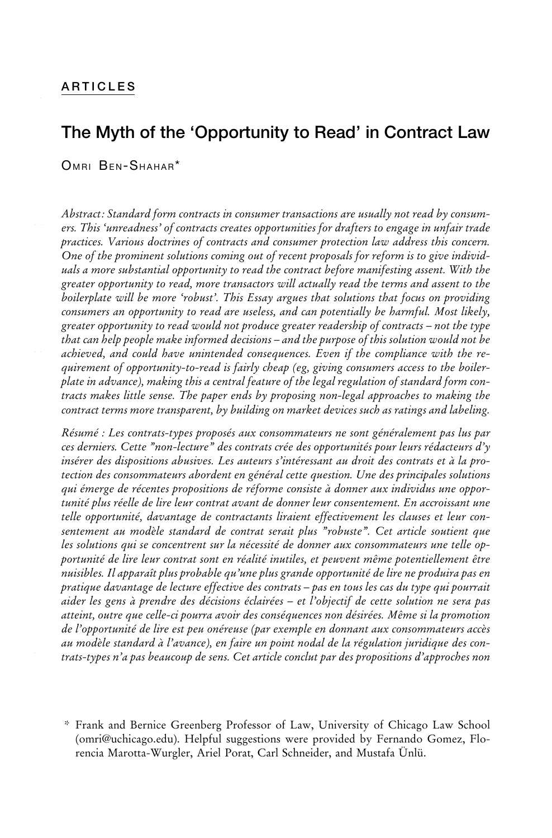# The Myth of the 'Opportunity to Read' in Contract Law

OMRI BEN-SHAHAR<sup>\*</sup>

Abstract: Standard form contracts in consumer transactions are usually not read by consumers. This 'unreadness' of contracts creates opportunities for drafters to engage in unfair trade practices. Various doctrines of contracts and consumer protection law address this concern. One of the prominent solutions coming out of recent proposals for reform is to give individuals a more substantial opportunity to read the contract before manifesting assent. With the greater opportunity to read, more transactors will actually read the terms and assent to the boilerplate will be more 'robust'. This Essay argues that solutions that focus on providing consumers an opportunity to read are useless, and can potentially be harmful. Most likely, greater opportunity to read would not produce greater readership of contracts – not the type that can help people make informed decisions – and the purpose of this solution would not be achieved, and could have unintended consequences. Even if the compliance with the requirement of opportunity-to-read is fairly cheap (eg, giving consumers access to the boilerplate in advance), making this a central feature of the legal regulation of standard form contracts makes little sense. The paper ends by proposing non-legal approaches to making the contract terms more transparent, by building on market devices such as ratings and labeling.

Résumé : Les contrats-types proposés aux consommateurs ne sont généralement pas lus par ces derniers. Cette "non-lecture" des contrats crée des opportunités pour leurs rédacteurs d'y insérer des dispositions abusives. Les auteurs s'intéressant au droit des contrats et à la protection des consommateurs abordent en général cette question. Une des principales solutions qui émerge de récentes propositions de réforme consiste à donner aux individus une opportunité plus réelle de lire leur contrat avant de donner leur consentement. En accroissant une telle opportunité, davantage de contractants liraient effectivement les clauses et leur consentement au modèle standard de contrat serait plus "robuste". Cet article soutient que les solutions qui se concentrent sur la nécessité de donner aux consommateurs une telle opportunité de lire leur contrat sont en réalité inutiles, et peuvent même potentiellement être nuisibles. Il apparaît plus probable qu'une plus grande opportunité de lire ne produira pas en pratique davantage de lecture effective des contrats – pas en tous les cas du type qui pourrait aider les gens à prendre des décisions éclairées – et l'objectif de cette solution ne sera pas atteint, outre que celle-ci pourra avoir des conséquences non désirées. Même si la promotion de l'opportunité de lire est peu onéreuse (par exemple en donnant aux consommateurs accès au modèle standard à l'avance), en faire un point nodal de la régulation juridique des contrats-types n'a pas beaucoup de sens. Cet article conclut par des propositions d'approches non

<sup>\*</sup> Frank and Bernice Greenberg Professor of Law, University of Chicago Law School [\(omri@uchicago.edu\). Helpful suggestions were provided by Fernando Gomez, Flo](mailto:omri@uchicago.eduERCL)rencia Marotta-Wurgler, Ariel Porat, Carl Schneider, and Mustafa Unlü.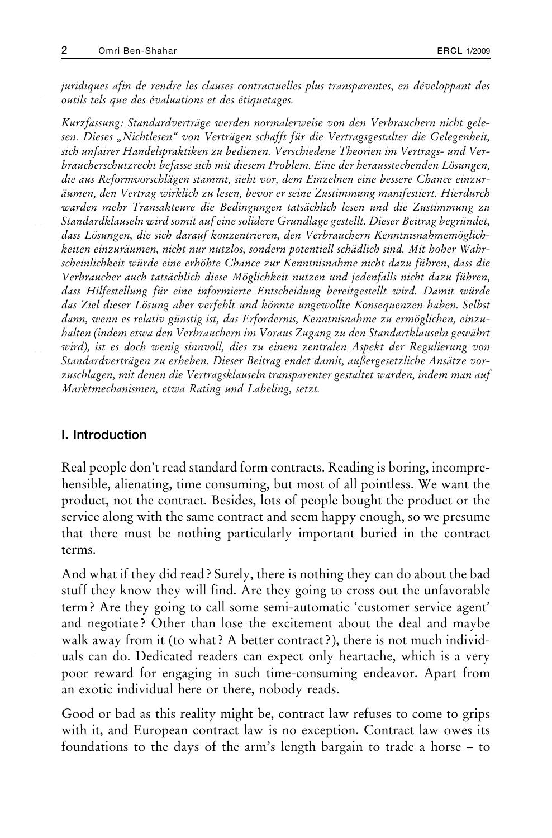juridiques afin de rendre les clauses contractuelles plus transparentes, en développant des outils tels que des évaluations et des étiquetages.

Kurzfassung: Standardverträge werden normalerweise von den Verbrauchern nicht gelesen. Dieses "Nichtlesen" von Verträgen schafft für die Vertragsgestalter die Gelegenheit, sich unfairer Handelspraktiken zu bedienen. Verschiedene Theorien im Vertrags- und Verbraucherschutzrecht befasse sich mit diesem Problem. Eine der herausstechenden Lösungen, die aus Reformvorschlgen stammt, sieht vor, dem Einzelnen eine bessere Chance einzur umen, den Vertrag wirklich zu lesen, bevor er seine Zustimmung manifestiert. Hierdurch warden mehr Transakteure die Bedingungen tatschlich lesen und die Zustimmung zu Standardklauseln wird somit auf eine solidere Grundlage gestellt. Dieser Beitrag begründet, dass Lösungen, die sich darauf konzentrieren, den Verbrauchern Kenntnisnahmemöglichkeiten einzuräumen, nicht nur nutzlos, sondern potentiell schädlich sind. Mit hoher Wahrscheinlichkeit würde eine erhöhte Chance zur Kenntnisnahme nicht dazu führen, dass die Verbraucher auch tatsächlich diese Möglichkeit nutzen und jedenfalls nicht dazu führen, dass Hilfestellung für eine informierte Entscheidung bereitgestellt wird. Damit würde das Ziel dieser Lösung aber verfehlt und könnte ungewollte Konsequenzen haben. Selbst dann, wenn es relativ günstig ist, das Erfordernis, Kenntnisnahme zu ermöglichen, einzuhalten (indem etwa den Verbrauchern im Voraus Zugang zu den Standartklauseln gewhrt wird), ist es doch wenig sinnvoll, dies zu einem zentralen Aspekt der Regulierung von Standardverträgen zu erheben. Dieser Beitrag endet damit, außergesetzliche Ansätze vorzuschlagen, mit denen die Vertragsklauseln transparenter gestaltet warden, indem man auf Marktmechanismen, etwa Rating und Labeling, setzt.

#### I. Introduction

Real people don't read standard form contracts. Reading is boring, incomprehensible, alienating, time consuming, but most of all pointless. We want the product, not the contract. Besides, lots of people bought the product or the service along with the same contract and seem happy enough, so we presume that there must be nothing particularly important buried in the contract terms.

And what if they did read? Surely, there is nothing they can do about the bad stuff they know they will find. Are they going to cross out the unfavorable term? Are they going to call some semi-automatic 'customer service agent' and negotiate? Other than lose the excitement about the deal and maybe walk away from it (to what? A better contract?), there is not much individuals can do. Dedicated readers can expect only heartache, which is a very poor reward for engaging in such time-consuming endeavor. Apart from an exotic individual here or there, nobody reads.

Good or bad as this reality might be, contract law refuses to come to grips with it, and European contract law is no exception. Contract law owes its foundations to the days of the arm's length bargain to trade a horse – to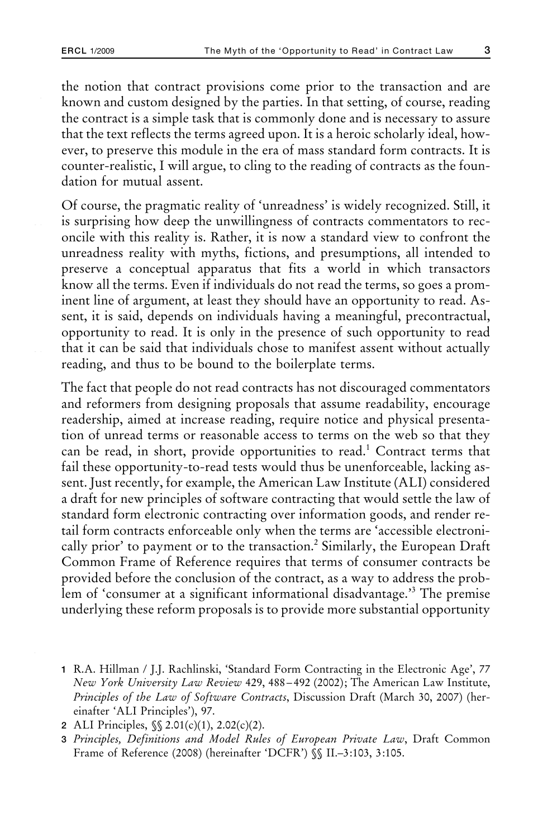the notion that contract provisions come prior to the transaction and are known and custom designed by the parties. In that setting, of course, reading the contract is a simple task that is commonly done and is necessary to assure that the text reflects the terms agreed upon. It is a heroic scholarly ideal, however, to preserve this module in the era of mass standard form contracts. It is counter-realistic, I will argue, to cling to the reading of contracts as the foundation for mutual assent.

Of course, the pragmatic reality of 'unreadness' is widely recognized. Still, it is surprising how deep the unwillingness of contracts commentators to reconcile with this reality is. Rather, it is now a standard view to confront the unreadness reality with myths, fictions, and presumptions, all intended to preserve a conceptual apparatus that fits a world in which transactors know all the terms. Even if individuals do not read the terms, so goes a prominent line of argument, at least they should have an opportunity to read. Assent, it is said, depends on individuals having a meaningful, precontractual, opportunity to read. It is only in the presence of such opportunity to read that it can be said that individuals chose to manifest assent without actually reading, and thus to be bound to the boilerplate terms.

The fact that people do not read contracts has not discouraged commentators and reformers from designing proposals that assume readability, encourage readership, aimed at increase reading, require notice and physical presentation of unread terms or reasonable access to terms on the web so that they can be read, in short, provide opportunities to read.<sup>1</sup> Contract terms that fail these opportunity-to-read tests would thus be unenforceable, lacking assent. Just recently, for example, the American Law Institute (ALI) considered a draft for new principles of software contracting that would settle the law of standard form electronic contracting over information goods, and render retail form contracts enforceable only when the terms are 'accessible electronically prior' to payment or to the transaction.<sup>2</sup> Similarly, the European Draft Common Frame of Reference requires that terms of consumer contracts be provided before the conclusion of the contract, as a way to address the problem of 'consumer at a significant informational disadvantage.'<sup>3</sup> The premise underlying these reform proposals is to provide more substantial opportunity

<sup>1</sup> R.A. Hillman / J.J. Rachlinski, 'Standard Form Contracting in the Electronic Age', 77 New York University Law Review 429, 488 – 492 (2002); The American Law Institute, Principles of the Law of Software Contracts, Discussion Draft (March 30, 2007) (hereinafter 'ALI Principles'), 97.

<sup>2</sup> ALI Principles, §§ 2.01(c)(1), 2.02(c)(2).

<sup>3</sup> Principles, Definitions and Model Rules of European Private Law, Draft Common Frame of Reference (2008) (hereinafter 'DCFR') §§ II.–3:103, 3:105.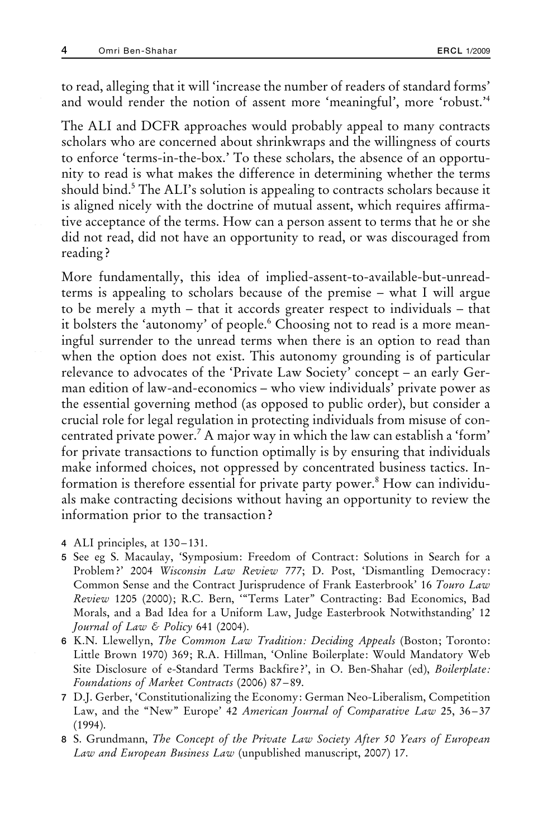to read, alleging that it will 'increase the number of readers of standard forms' and would render the notion of assent more 'meaningful', more 'robust.'<sup>4</sup>

The ALI and DCFR approaches would probably appeal to many contracts scholars who are concerned about shrinkwraps and the willingness of courts to enforce 'terms-in-the-box.' To these scholars, the absence of an opportunity to read is what makes the difference in determining whether the terms should bind.<sup>5</sup> The ALI's solution is appealing to contracts scholars because it is aligned nicely with the doctrine of mutual assent, which requires affirmative acceptance of the terms. How can a person assent to terms that he or she did not read, did not have an opportunity to read, or was discouraged from reading?

More fundamentally, this idea of implied-assent-to-available-but-unreadterms is appealing to scholars because of the premise – what I will argue to be merely a myth – that it accords greater respect to individuals – that it bolsters the 'autonomy' of people.<sup>6</sup> Choosing not to read is a more meaningful surrender to the unread terms when there is an option to read than when the option does not exist. This autonomy grounding is of particular relevance to advocates of the 'Private Law Society' concept – an early German edition of law-and-economics – who view individuals' private power as the essential governing method (as opposed to public order), but consider a crucial role for legal regulation in protecting individuals from misuse of concentrated private power.<sup>7</sup> A major way in which the law can establish a 'form' for private transactions to function optimally is by ensuring that individuals make informed choices, not oppressed by concentrated business tactics. Information is therefore essential for private party power.<sup>8</sup> How can individuals make contracting decisions without having an opportunity to review the information prior to the transaction?

- 4 ALI principles, at 130–131.
- 5 See eg S. Macaulay, 'Symposium: Freedom of Contract: Solutions in Search for a Problem?' 2004 Wisconsin Law Review 777; D. Post, 'Dismantling Democracy: Common Sense and the Contract Jurisprudence of Frank Easterbrook' 16 Touro Law Review 1205 (2000); R.C. Bern, '"Terms Later" Contracting: Bad Economics, Bad Morals, and a Bad Idea for a Uniform Law, Judge Easterbrook Notwithstanding' 12 Journal of Law  $\&$  Policy 641 (2004).
- 6 K.N. Llewellyn, The Common Law Tradition: Deciding Appeals (Boston; Toronto: Little Brown 1970) 369; R.A. Hillman, 'Online Boilerplate: Would Mandatory Web Site Disclosure of e-Standard Terms Backfire?', in O. Ben-Shahar (ed), Boilerplate: Foundations of Market Contracts (2006) 87 – 89.
- 7 D.J. Gerber, 'Constitutionalizing the Economy: German Neo-Liberalism, Competition Law, and the "New" Europe' 42 American Journal of Comparative Law 25, 36-37 (1994).
- 8 S. Grundmann, The Concept of the Private Law Society After 50 Years of European Law and European Business Law (unpublished manuscript, 2007) 17.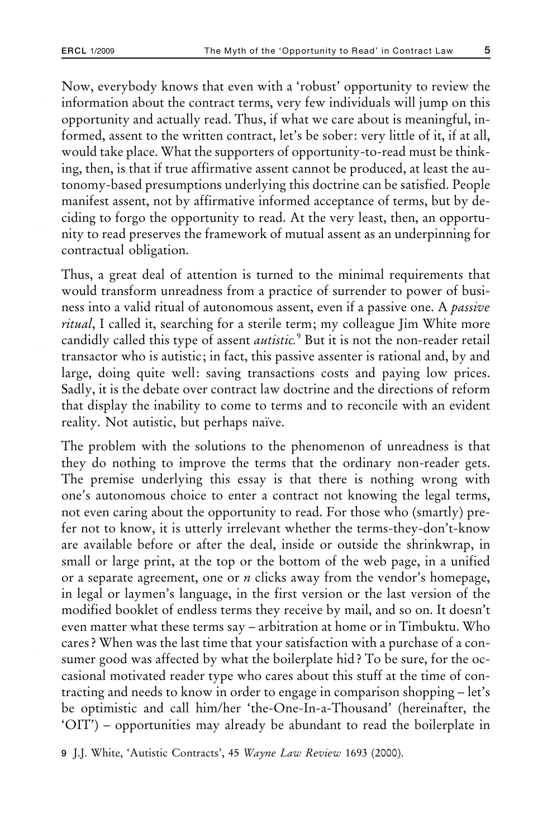Now, everybody knows that even with a 'robust' opportunity to review the information about the contract terms, very few individuals will jump on this opportunity and actually read. Thus, if what we care about is meaningful, informed, assent to the written contract, let's be sober: very little of it, if at all, would take place. What the supporters of opportunity-to-read must be thinking, then, is that if true affirmative assent cannot be produced, at least the autonomy-based presumptions underlying this doctrine can be satisfied. People manifest assent, not by affirmative informed acceptance of terms, but by deciding to forgo the opportunity to read. At the very least, then, an opportunity to read preserves the framework of mutual assent as an underpinning for contractual obligation.

Thus, a great deal of attention is turned to the minimal requirements that would transform unreadness from a practice of surrender to power of business into a valid ritual of autonomous assent, even if a passive one. A passive ritual, I called it, searching for a sterile term; my colleague Jim White more candidly called this type of assent *autistic*.<sup>9</sup> But it is not the non-reader retail transactor who is autistic; in fact, this passive assenter is rational and, by and large, doing quite well: saving transactions costs and paying low prices. Sadly, it is the debate over contract law doctrine and the directions of reform that display the inability to come to terms and to reconcile with an evident reality. Not autistic, but perhaps naïve.

The problem with the solutions to the phenomenon of unreadness is that they do nothing to improve the terms that the ordinary non-reader gets. The premise underlying this essay is that there is nothing wrong with one's autonomous choice to enter a contract not knowing the legal terms, not even caring about the opportunity to read. For those who (smartly) prefer not to know, it is utterly irrelevant whether the terms-they-don't-know are available before or after the deal, inside or outside the shrinkwrap, in small or large print, at the top or the bottom of the web page, in a unified or a separate agreement, one or  $n$  clicks away from the vendor's homepage, in legal or laymen's language, in the first version or the last version of the modified booklet of endless terms they receive by mail, and so on. It doesn't even matter what these terms say – arbitration at home or in Timbuktu. Who cares? When was the last time that your satisfaction with a purchase of a consumer good was affected by what the boilerplate hid? To be sure, for the occasional motivated reader type who cares about this stuff at the time of contracting and needs to know in order to engage in comparison shopping – let's be optimistic and call him/her 'the-One-In-a-Thousand' (hereinafter, the 'OIT') – opportunities may already be abundant to read the boilerplate in

9 J.J. White, 'Autistic Contracts', 45 Wayne Law Review 1693 (2000).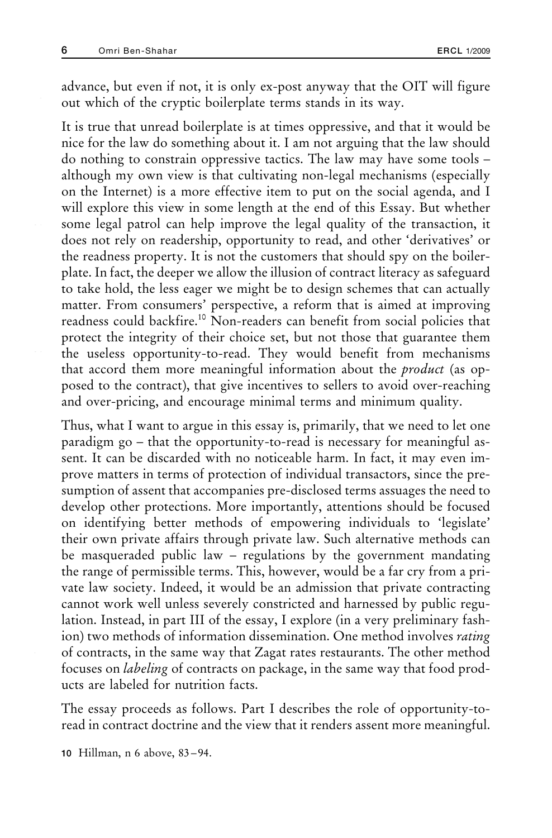advance, but even if not, it is only ex-post anyway that the OIT will figure out which of the cryptic boilerplate terms stands in its way.

It is true that unread boilerplate is at times oppressive, and that it would be nice for the law do something about it. I am not arguing that the law should do nothing to constrain oppressive tactics. The law may have some tools – although my own view is that cultivating non-legal mechanisms (especially on the Internet) is a more effective item to put on the social agenda, and I will explore this view in some length at the end of this Essay. But whether some legal patrol can help improve the legal quality of the transaction, it does not rely on readership, opportunity to read, and other 'derivatives' or the readness property. It is not the customers that should spy on the boilerplate. In fact, the deeper we allow the illusion of contract literacy as safeguard to take hold, the less eager we might be to design schemes that can actually matter. From consumers' perspective, a reform that is aimed at improving readness could backfire.10 Non-readers can benefit from social policies that protect the integrity of their choice set, but not those that guarantee them the useless opportunity-to-read. They would benefit from mechanisms that accord them more meaningful information about the *product* (as opposed to the contract), that give incentives to sellers to avoid over-reaching and over-pricing, and encourage minimal terms and minimum quality.

Thus, what I want to argue in this essay is, primarily, that we need to let one paradigm go – that the opportunity-to-read is necessary for meaningful assent. It can be discarded with no noticeable harm. In fact, it may even improve matters in terms of protection of individual transactors, since the presumption of assent that accompanies pre-disclosed terms assuages the need to develop other protections. More importantly, attentions should be focused on identifying better methods of empowering individuals to 'legislate' their own private affairs through private law. Such alternative methods can be masqueraded public law – regulations by the government mandating the range of permissible terms. This, however, would be a far cry from a private law society. Indeed, it would be an admission that private contracting cannot work well unless severely constricted and harnessed by public regulation. Instead, in part III of the essay, I explore (in a very preliminary fashion) two methods of information dissemination. One method involves *rating* of contracts, in the same way that Zagat rates restaurants. The other method focuses on labeling of contracts on package, in the same way that food products are labeled for nutrition facts.

The essay proceeds as follows. Part I describes the role of opportunity-toread in contract doctrine and the view that it renders assent more meaningful.

10 Hillman, n 6 above, 83 – 94.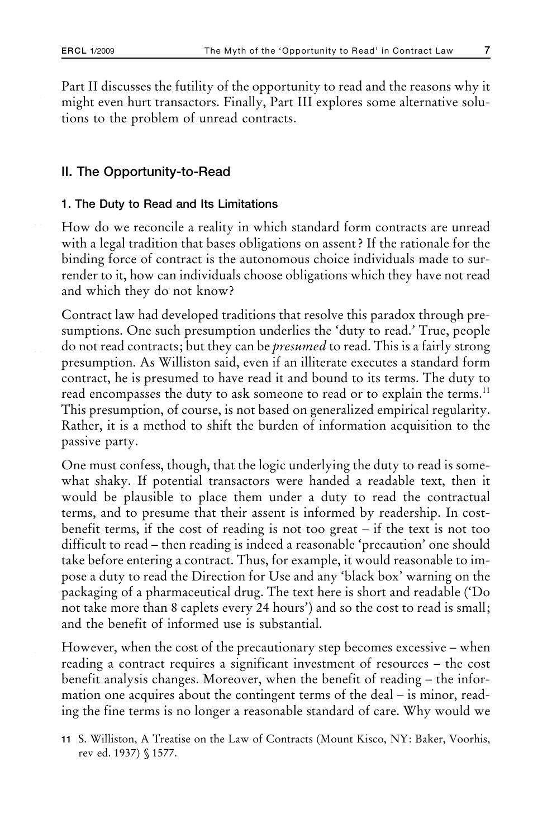Part II discusses the futility of the opportunity to read and the reasons why it might even hurt transactors. Finally, Part III explores some alternative solutions to the problem of unread contracts.

# II. The Opportunity-to-Read

### 1. The Duty to Read and Its Limitations

How do we reconcile a reality in which standard form contracts are unread with a legal tradition that bases obligations on assent? If the rationale for the binding force of contract is the autonomous choice individuals made to surrender to it, how can individuals choose obligations which they have not read and which they do not know?

Contract law had developed traditions that resolve this paradox through presumptions. One such presumption underlies the 'duty to read.' True, people do not read contracts; but they can be *presumed* to read. This is a fairly strong presumption. As Williston said, even if an illiterate executes a standard form contract, he is presumed to have read it and bound to its terms. The duty to read encompasses the duty to ask someone to read or to explain the terms.<sup>11</sup> This presumption, of course, is not based on generalized empirical regularity. Rather, it is a method to shift the burden of information acquisition to the passive party.

One must confess, though, that the logic underlying the duty to read is somewhat shaky. If potential transactors were handed a readable text, then it would be plausible to place them under a duty to read the contractual terms, and to presume that their assent is informed by readership. In costbenefit terms, if the cost of reading is not too great – if the text is not too difficult to read – then reading is indeed a reasonable 'precaution' one should take before entering a contract. Thus, for example, it would reasonable to impose a duty to read the Direction for Use and any 'black box' warning on the packaging of a pharmaceutical drug. The text here is short and readable ('Do not take more than 8 caplets every 24 hours') and so the cost to read is small; and the benefit of informed use is substantial.

However, when the cost of the precautionary step becomes excessive – when reading a contract requires a significant investment of resources – the cost benefit analysis changes. Moreover, when the benefit of reading – the information one acquires about the contingent terms of the deal – is minor, reading the fine terms is no longer a reasonable standard of care. Why would we

<sup>11</sup> S. Williston, A Treatise on the Law of Contracts (Mount Kisco, NY: Baker, Voorhis, rev ed. 1937) § 1577.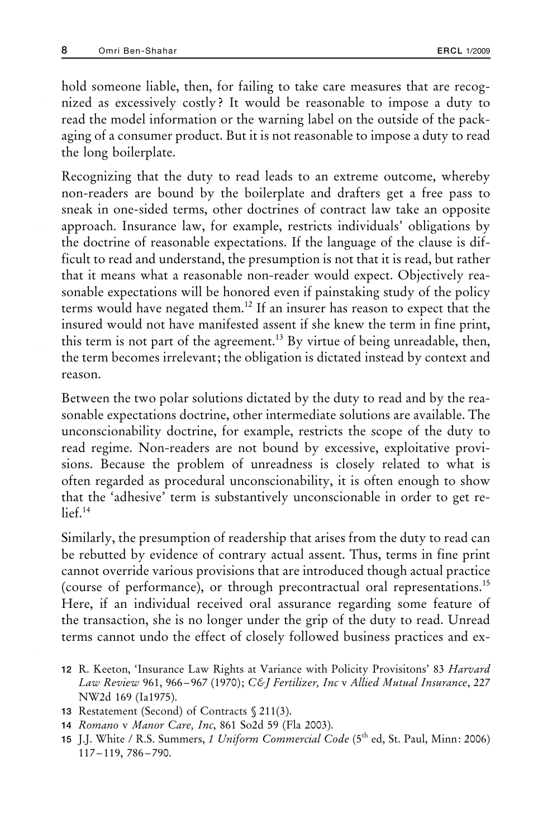hold someone liable, then, for failing to take care measures that are recognized as excessively costly? It would be reasonable to impose a duty to read the model information or the warning label on the outside of the packaging of a consumer product. But it is not reasonable to impose a duty to read the long boilerplate.

Recognizing that the duty to read leads to an extreme outcome, whereby non-readers are bound by the boilerplate and drafters get a free pass to sneak in one-sided terms, other doctrines of contract law take an opposite approach. Insurance law, for example, restricts individuals' obligations by the doctrine of reasonable expectations. If the language of the clause is difficult to read and understand, the presumption is not that it is read, but rather that it means what a reasonable non-reader would expect. Objectively reasonable expectations will be honored even if painstaking study of the policy terms would have negated them.<sup>12</sup> If an insurer has reason to expect that the insured would not have manifested assent if she knew the term in fine print, this term is not part of the agreement.<sup>13</sup> By virtue of being unreadable, then, the term becomes irrelevant; the obligation is dictated instead by context and reason.

Between the two polar solutions dictated by the duty to read and by the reasonable expectations doctrine, other intermediate solutions are available. The unconscionability doctrine, for example, restricts the scope of the duty to read regime. Non-readers are not bound by excessive, exploitative provisions. Because the problem of unreadness is closely related to what is often regarded as procedural unconscionability, it is often enough to show that the 'adhesive' term is substantively unconscionable in order to get re $lief<sup>14</sup>$ 

Similarly, the presumption of readership that arises from the duty to read can be rebutted by evidence of contrary actual assent. Thus, terms in fine print cannot override various provisions that are introduced though actual practice (course of performance), or through precontractual oral representations.15 Here, if an individual received oral assurance regarding some feature of the transaction, she is no longer under the grip of the duty to read. Unread terms cannot undo the effect of closely followed business practices and ex-

- 12 R. Keeton, 'Insurance Law Rights at Variance with Policity Provisitons' 83 Harvard Law Review 961, 966 – 967 (1970); C&J Fertilizer, Inc v Allied Mutual Insurance, 227 NW2d 169 (Ia1975).
- 13 Restatement (Second) of Contracts § 211(3).
- 14 Romano v Manor Care, Inc, 861 So2d 59 (Fla 2003).
- 15 J.J. White / R.S. Summers, 1 Uniform Commercial Code (5<sup>th</sup> ed, St. Paul, Minn: 2006) 117 – 119, 786 – 790.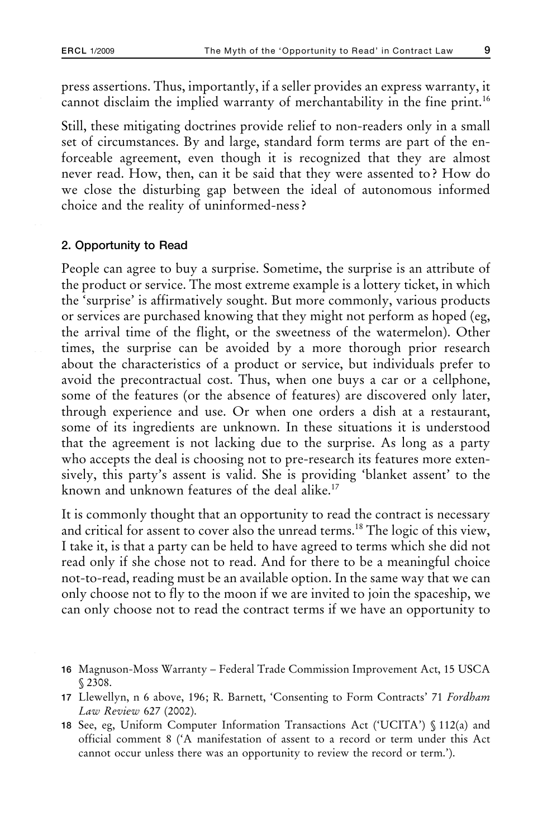press assertions. Thus, importantly, if a seller provides an express warranty, it cannot disclaim the implied warranty of merchantability in the fine print.<sup>16</sup>

Still, these mitigating doctrines provide relief to non-readers only in a small set of circumstances. By and large, standard form terms are part of the enforceable agreement, even though it is recognized that they are almost never read. How, then, can it be said that they were assented to? How do we close the disturbing gap between the ideal of autonomous informed choice and the reality of uninformed-ness?

#### 2. Opportunity to Read

People can agree to buy a surprise. Sometime, the surprise is an attribute of the product or service. The most extreme example is a lottery ticket, in which the 'surprise' is affirmatively sought. But more commonly, various products or services are purchased knowing that they might not perform as hoped (eg, the arrival time of the flight, or the sweetness of the watermelon). Other times, the surprise can be avoided by a more thorough prior research about the characteristics of a product or service, but individuals prefer to avoid the precontractual cost. Thus, when one buys a car or a cellphone, some of the features (or the absence of features) are discovered only later, through experience and use. Or when one orders a dish at a restaurant, some of its ingredients are unknown. In these situations it is understood that the agreement is not lacking due to the surprise. As long as a party who accepts the deal is choosing not to pre-research its features more extensively, this party's assent is valid. She is providing 'blanket assent' to the known and unknown features of the deal alike.<sup>17</sup>

It is commonly thought that an opportunity to read the contract is necessary and critical for assent to cover also the unread terms.<sup>18</sup> The logic of this view, I take it, is that a party can be held to have agreed to terms which she did not read only if she chose not to read. And for there to be a meaningful choice not-to-read, reading must be an available option. In the same way that we can only choose not to fly to the moon if we are invited to join the spaceship, we can only choose not to read the contract terms if we have an opportunity to

- 16 Magnuson-Moss Warranty Federal Trade Commission Improvement Act, 15 USCA § 2308.
- 17 Llewellyn, n 6 above, 196; R. Barnett, 'Consenting to Form Contracts' 71 Fordham Law Review 627 (2002).
- 18 See, eg, Uniform Computer Information Transactions Act ('UCITA') § 112(a) and official comment 8 ('A manifestation of assent to a record or term under this Act cannot occur unless there was an opportunity to review the record or term.').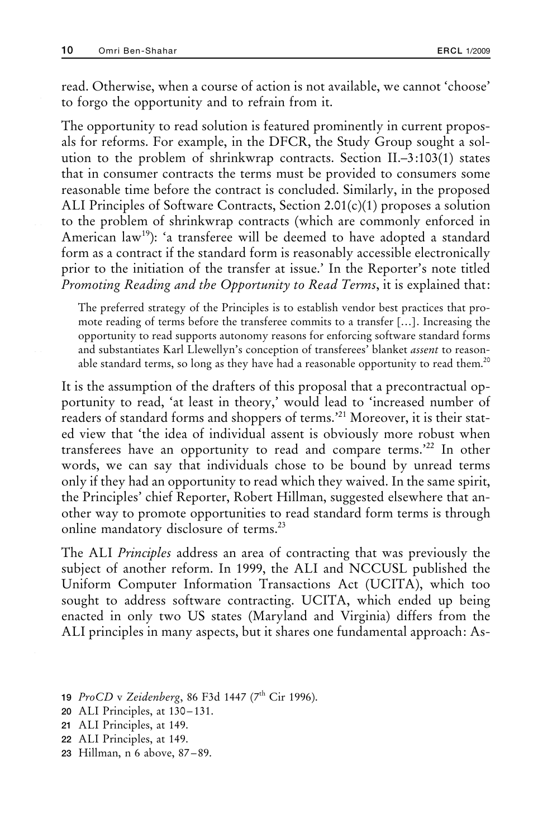read. Otherwise, when a course of action is not available, we cannot 'choose' to forgo the opportunity and to refrain from it.

The opportunity to read solution is featured prominently in current proposals for reforms. For example, in the DFCR, the Study Group sought a solution to the problem of shrinkwrap contracts. Section II.–3:103(1) states that in consumer contracts the terms must be provided to consumers some reasonable time before the contract is concluded. Similarly, in the proposed ALI Principles of Software Contracts, Section 2.01(c)(1) proposes a solution to the problem of shrinkwrap contracts (which are commonly enforced in American law<sup>19</sup>): 'a transferee will be deemed to have adopted a standard form as a contract if the standard form is reasonably accessible electronically prior to the initiation of the transfer at issue.' In the Reporter's note titled Promoting Reading and the Opportunity to Read Terms, it is explained that:

The preferred strategy of the Principles is to establish vendor best practices that promote reading of terms before the transferee commits to a transfer […]. Increasing the opportunity to read supports autonomy reasons for enforcing software standard forms and substantiates Karl Llewellyn's conception of transferees' blanket assent to reasonable standard terms, so long as they have had a reasonable opportunity to read them.<sup>20</sup>

It is the assumption of the drafters of this proposal that a precontractual opportunity to read, 'at least in theory,' would lead to 'increased number of readers of standard forms and shoppers of terms.'<sup>21</sup> Moreover, it is their stated view that 'the idea of individual assent is obviously more robust when transferees have an opportunity to read and compare terms.<sup>22</sup> In other words, we can say that individuals chose to be bound by unread terms only if they had an opportunity to read which they waived. In the same spirit, the Principles' chief Reporter, Robert Hillman, suggested elsewhere that another way to promote opportunities to read standard form terms is through online mandatory disclosure of terms.<sup>23</sup>

The ALI Principles address an area of contracting that was previously the subject of another reform. In 1999, the ALI and NCCUSL published the Uniform Computer Information Transactions Act (UCITA), which too sought to address software contracting. UCITA, which ended up being enacted in only two US states (Maryland and Virginia) differs from the ALI principles in many aspects, but it shares one fundamental approach: As-

- 19 ProCD v Zeidenberg, 86 F3d 1447 (7th Cir 1996).
- 20 ALI Principles, at 130-131.
- 21 ALI Principles, at 149.
- 22 ALI Principles, at 149.
- 23 Hillman, n 6 above, 87 89.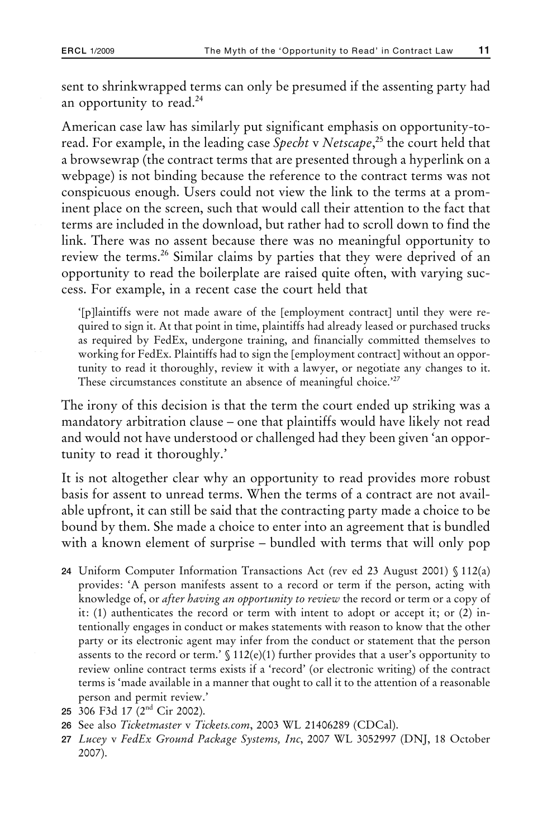sent to shrinkwrapped terms can only be presumed if the assenting party had an opportunity to read. $^{24}$ 

American case law has similarly put significant emphasis on opportunity-toread. For example, in the leading case Specht v Netscape,<sup>25</sup> the court held that a browsewrap (the contract terms that are presented through a hyperlink on a webpage) is not binding because the reference to the contract terms was not conspicuous enough. Users could not view the link to the terms at a prominent place on the screen, such that would call their attention to the fact that terms are included in the download, but rather had to scroll down to find the link. There was no assent because there was no meaningful opportunity to review the terms.<sup>26</sup> Similar claims by parties that they were deprived of an opportunity to read the boilerplate are raised quite often, with varying success. For example, in a recent case the court held that

'[p]laintiffs were not made aware of the [employment contract] until they were required to sign it. At that point in time, plaintiffs had already leased or purchased trucks as required by FedEx, undergone training, and financially committed themselves to working for FedEx. Plaintiffs had to sign the [employment contract] without an opportunity to read it thoroughly, review it with a lawyer, or negotiate any changes to it. These circumstances constitute an absence of meaningful choice.'<sup>27</sup>

The irony of this decision is that the term the court ended up striking was a mandatory arbitration clause – one that plaintiffs would have likely not read and would not have understood or challenged had they been given 'an opportunity to read it thoroughly.'

It is not altogether clear why an opportunity to read provides more robust basis for assent to unread terms. When the terms of a contract are not available upfront, it can still be said that the contracting party made a choice to be bound by them. She made a choice to enter into an agreement that is bundled with a known element of surprise – bundled with terms that will only pop

- 24 Uniform Computer Information Transactions Act (rev ed 23 August 2001) § 112(a) provides: 'A person manifests assent to a record or term if the person, acting with knowledge of, or after having an opportunity to review the record or term or a copy of it: (1) authenticates the record or term with intent to adopt or accept it; or (2) intentionally engages in conduct or makes statements with reason to know that the other party or its electronic agent may infer from the conduct or statement that the person assents to the record or term.'  $\int 112(e)(1)$  further provides that a user's opportunity to review online contract terms exists if a 'record' (or electronic writing) of the contract terms is 'made available in a manner that ought to call it to the attention of a reasonable person and permit review.'
- 25 306 F3d 17 (2nd Cir 2002).

26 See also Ticketmaster v Tickets.com, 2003 WL 21406289 (CDCal).

27 Lucey v FedEx Ground Package Systems, Inc, 2007 WL 3052997 (DNJ, 18 October 2007).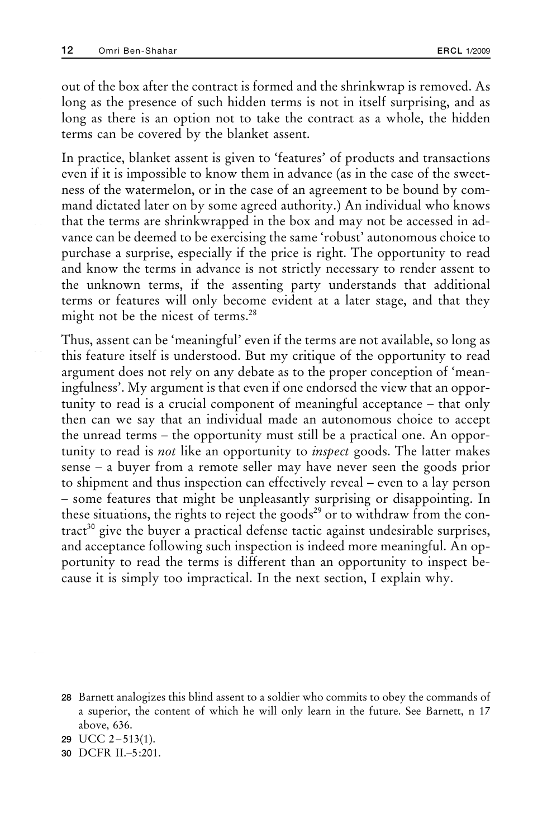out of the box after the contract is formed and the shrinkwrap is removed. As long as the presence of such hidden terms is not in itself surprising, and as long as there is an option not to take the contract as a whole, the hidden terms can be covered by the blanket assent.

In practice, blanket assent is given to 'features' of products and transactions even if it is impossible to know them in advance (as in the case of the sweetness of the watermelon, or in the case of an agreement to be bound by command dictated later on by some agreed authority.) An individual who knows that the terms are shrinkwrapped in the box and may not be accessed in advance can be deemed to be exercising the same 'robust' autonomous choice to purchase a surprise, especially if the price is right. The opportunity to read and know the terms in advance is not strictly necessary to render assent to the unknown terms, if the assenting party understands that additional terms or features will only become evident at a later stage, and that they might not be the nicest of terms.<sup>28</sup>

Thus, assent can be 'meaningful' even if the terms are not available, so long as this feature itself is understood. But my critique of the opportunity to read argument does not rely on any debate as to the proper conception of 'meaningfulness'. My argument is that even if one endorsed the view that an opportunity to read is a crucial component of meaningful acceptance – that only then can we say that an individual made an autonomous choice to accept the unread terms – the opportunity must still be a practical one. An opportunity to read is not like an opportunity to *inspect* goods. The latter makes sense – a buyer from a remote seller may have never seen the goods prior to shipment and thus inspection can effectively reveal – even to a lay person – some features that might be unpleasantly surprising or disappointing. In these situations, the rights to reject the goods<sup>29</sup> or to withdraw from the con- $\text{tract}^{30}$  give the buyer a practical defense tactic against undesirable surprises, and acceptance following such inspection is indeed more meaningful. An opportunity to read the terms is different than an opportunity to inspect because it is simply too impractical. In the next section, I explain why.

<sup>28</sup> Barnett analogizes this blind assent to a soldier who commits to obey the commands of a superior, the content of which he will only learn in the future. See Barnett, n 17 above, 636.

<sup>29</sup> UCC 2 – 513(1).

<sup>30</sup> DCFR II.–5:201.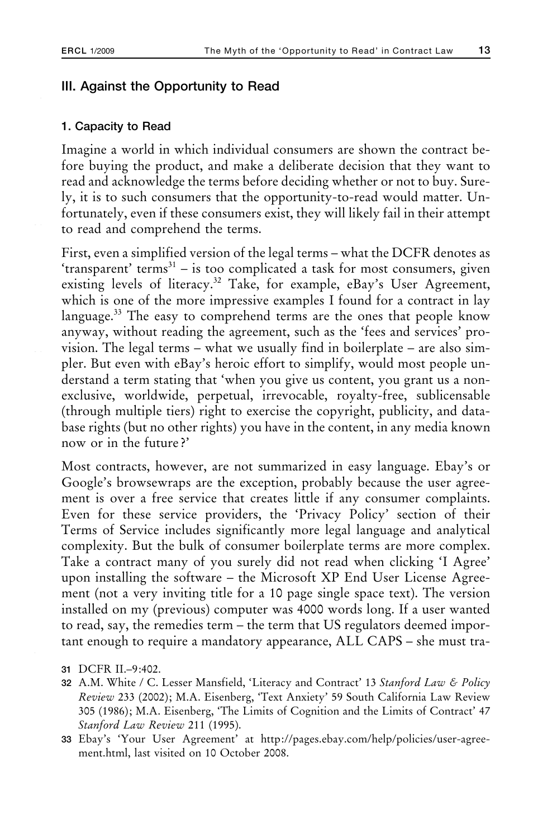# III. Against the Opportunity to Read

#### 1. Capacity to Read

Imagine a world in which individual consumers are shown the contract before buying the product, and make a deliberate decision that they want to read and acknowledge the terms before deciding whether or not to buy. Surely, it is to such consumers that the opportunity-to-read would matter. Unfortunately, even if these consumers exist, they will likely fail in their attempt to read and comprehend the terms.

First, even a simplified version of the legal terms – what the DCFR denotes as 'transparent' terms $31 -$  is too complicated a task for most consumers, given existing levels of literacy.<sup>32</sup> Take, for example, eBay's User Agreement, which is one of the more impressive examples I found for a contract in lay language.<sup>33</sup> The easy to comprehend terms are the ones that people know anyway, without reading the agreement, such as the 'fees and services' provision. The legal terms – what we usually find in boilerplate – are also simpler. But even with eBay's heroic effort to simplify, would most people understand a term stating that 'when you give us content, you grant us a nonexclusive, worldwide, perpetual, irrevocable, royalty-free, sublicensable (through multiple tiers) right to exercise the copyright, publicity, and database rights (but no other rights) you have in the content, in any media known now or in the future?'

Most contracts, however, are not summarized in easy language. Ebay's or Google's browsewraps are the exception, probably because the user agreement is over a free service that creates little if any consumer complaints. Even for these service providers, the 'Privacy Policy' section of their Terms of Service includes significantly more legal language and analytical complexity. But the bulk of consumer boilerplate terms are more complex. Take a contract many of you surely did not read when clicking 'I Agree' upon installing the software – the Microsoft XP End User License Agreement (not a very inviting title for a 10 page single space text). The version installed on my (previous) computer was 4000 words long. If a user wanted to read, say, the remedies term – the term that US regulators deemed important enough to require a mandatory appearance, ALL CAPS – she must tra-

- 32 A.M. White / C. Lesser Mansfield, 'Literacy and Contract' 13 Stanford Law & Policy Review 233 (2002); M.A. Eisenberg, 'Text Anxiety' 59 South California Law Review 305 (1986); M.A. Eisenberg, 'The Limits of Cognition and the Limits of Contract' 47 Stanford Law Review 211 (1995).
- 33 Ebay's 'Your User Agreement' at http://pages.ebay.com/help/policies/user-agreement.html, last visited on 10 October 2008.

<sup>31</sup> DCFR II.–9:402.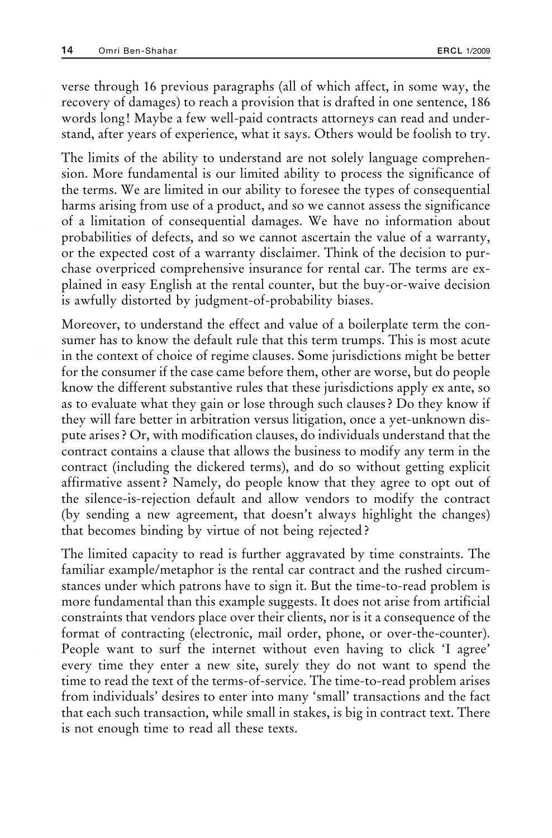verse through 16 previous paragraphs (all of which affect, in some way, the recovery of damages) to reach a provision that is drafted in one sentence, 186 words long! Maybe a few well-paid contracts attorneys can read and understand, after years of experience, what it says. Others would be foolish to try.

The limits of the ability to understand are not solely language comprehension. More fundamental is our limited ability to process the significance of the terms. We are limited in our ability to foresee the types of consequential harms arising from use of a product, and so we cannot assess the significance of a limitation of consequential damages. We have no information about probabilities of defects, and so we cannot ascertain the value of a warranty, or the expected cost of a warranty disclaimer. Think of the decision to purchase overpriced comprehensive insurance for rental car. The terms are explained in easy English at the rental counter, but the buy-or-waive decision is awfully distorted by judgment-of-probability biases.

Moreover, to understand the effect and value of a boilerplate term the consumer has to know the default rule that this term trumps. This is most acute in the context of choice of regime clauses. Some jurisdictions might be better for the consumer if the case came before them, other are worse, but do people know the different substantive rules that these jurisdictions apply ex ante, so as to evaluate what they gain or lose through such clauses? Do they know if they will fare better in arbitration versus litigation, once a yet-unknown dispute arises? Or, with modification clauses, do individuals understand that the contract contains a clause that allows the business to modify any term in the contract (including the dickered terms), and do so without getting explicit affirmative assent? Namely, do people know that they agree to opt out of the silence-is-rejection default and allow vendors to modify the contract (by sending a new agreement, that doesn't always highlight the changes) that becomes binding by virtue of not being rejected?

The limited capacity to read is further aggravated by time constraints. The familiar example/metaphor is the rental car contract and the rushed circumstances under which patrons have to sign it. But the time-to-read problem is more fundamental than this example suggests. It does not arise from artificial constraints that vendors place over their clients, nor is it a consequence of the format of contracting (electronic, mail order, phone, or over-the-counter). People want to surf the internet without even having to click 'I agree' every time they enter a new site, surely they do not want to spend the time to read the text of the terms-of-service. The time-to-read problem arises from individuals' desires to enter into many 'small' transactions and the fact that each such transaction, while small in stakes, is big in contract text. There is not enough time to read all these texts.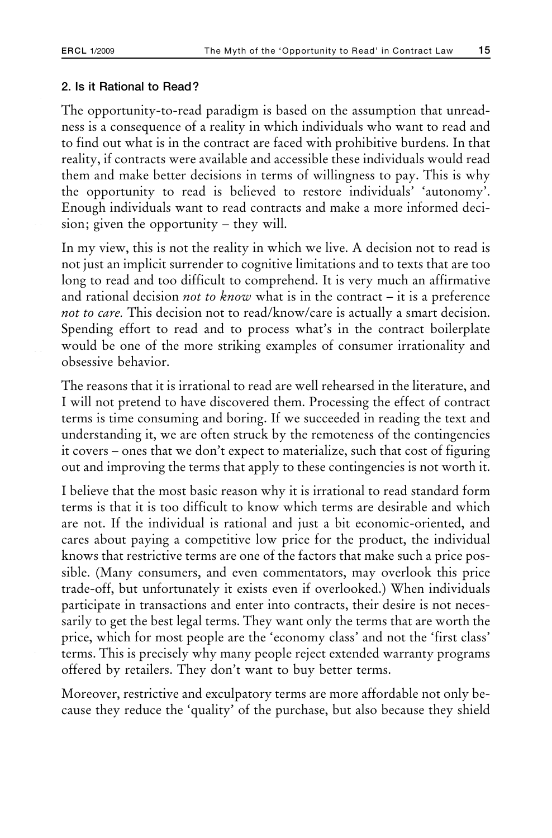### 2. Is it Rational to Read?

The opportunity-to-read paradigm is based on the assumption that unreadness is a consequence of a reality in which individuals who want to read and to find out what is in the contract are faced with prohibitive burdens. In that reality, if contracts were available and accessible these individuals would read them and make better decisions in terms of willingness to pay. This is why the opportunity to read is believed to restore individuals' 'autonomy'. Enough individuals want to read contracts and make a more informed decision; given the opportunity – they will.

In my view, this is not the reality in which we live. A decision not to read is not just an implicit surrender to cognitive limitations and to texts that are too long to read and too difficult to comprehend. It is very much an affirmative and rational decision *not to know* what is in the contract – it is a preference not to care. This decision not to read/know/care is actually a smart decision. Spending effort to read and to process what's in the contract boilerplate would be one of the more striking examples of consumer irrationality and obsessive behavior.

The reasons that it is irrational to read are well rehearsed in the literature, and I will not pretend to have discovered them. Processing the effect of contract terms is time consuming and boring. If we succeeded in reading the text and understanding it, we are often struck by the remoteness of the contingencies it covers – ones that we don't expect to materialize, such that cost of figuring out and improving the terms that apply to these contingencies is not worth it.

I believe that the most basic reason why it is irrational to read standard form terms is that it is too difficult to know which terms are desirable and which are not. If the individual is rational and just a bit economic-oriented, and cares about paying a competitive low price for the product, the individual knows that restrictive terms are one of the factors that make such a price possible. (Many consumers, and even commentators, may overlook this price trade-off, but unfortunately it exists even if overlooked.) When individuals participate in transactions and enter into contracts, their desire is not necessarily to get the best legal terms. They want only the terms that are worth the price, which for most people are the 'economy class' and not the 'first class' terms. This is precisely why many people reject extended warranty programs offered by retailers. They don't want to buy better terms.

Moreover, restrictive and exculpatory terms are more affordable not only because they reduce the 'quality' of the purchase, but also because they shield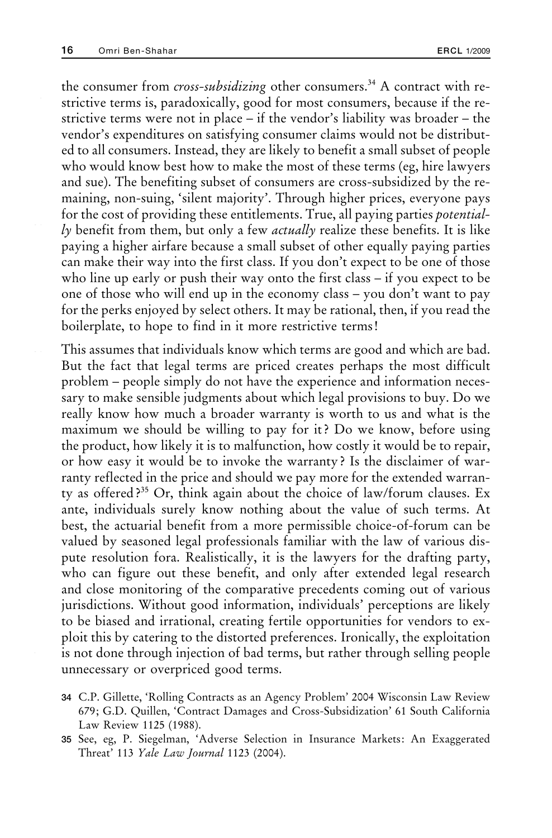the consumer from *cross-subsidizing* other consumers.<sup>34</sup> A contract with restrictive terms is, paradoxically, good for most consumers, because if the restrictive terms were not in place – if the vendor's liability was broader – the vendor's expenditures on satisfying consumer claims would not be distributed to all consumers. Instead, they are likely to benefit a small subset of people who would know best how to make the most of these terms (eg, hire lawyers and sue). The benefiting subset of consumers are cross-subsidized by the remaining, non-suing, 'silent majority'. Through higher prices, everyone pays for the cost of providing these entitlements. True, all paying parties *potential*ly benefit from them, but only a few *actually* realize these benefits. It is like paying a higher airfare because a small subset of other equally paying parties can make their way into the first class. If you don't expect to be one of those who line up early or push their way onto the first class – if you expect to be one of those who will end up in the economy class – you don't want to pay for the perks enjoyed by select others. It may be rational, then, if you read the boilerplate, to hope to find in it more restrictive terms !

This assumes that individuals know which terms are good and which are bad. But the fact that legal terms are priced creates perhaps the most difficult problem – people simply do not have the experience and information necessary to make sensible judgments about which legal provisions to buy. Do we really know how much a broader warranty is worth to us and what is the maximum we should be willing to pay for it? Do we know, before using the product, how likely it is to malfunction, how costly it would be to repair, or how easy it would be to invoke the warranty? Is the disclaimer of warranty reflected in the price and should we pay more for the extended warranty as offered?<sup>35</sup> Or, think again about the choice of law/forum clauses. Ex ante, individuals surely know nothing about the value of such terms. At best, the actuarial benefit from a more permissible choice-of-forum can be valued by seasoned legal professionals familiar with the law of various dispute resolution fora. Realistically, it is the lawyers for the drafting party, who can figure out these benefit, and only after extended legal research and close monitoring of the comparative precedents coming out of various jurisdictions. Without good information, individuals' perceptions are likely to be biased and irrational, creating fertile opportunities for vendors to exploit this by catering to the distorted preferences. Ironically, the exploitation is not done through injection of bad terms, but rather through selling people unnecessary or overpriced good terms.

- 34 C.P. Gillette, 'Rolling Contracts as an Agency Problem' 2004 Wisconsin Law Review 679; G.D. Quillen, 'Contract Damages and Cross-Subsidization' 61 South California Law Review 1125 (1988).
- 35 See, eg, P. Siegelman, 'Adverse Selection in Insurance Markets: An Exaggerated Threat' 113 Yale Law Journal 1123 (2004).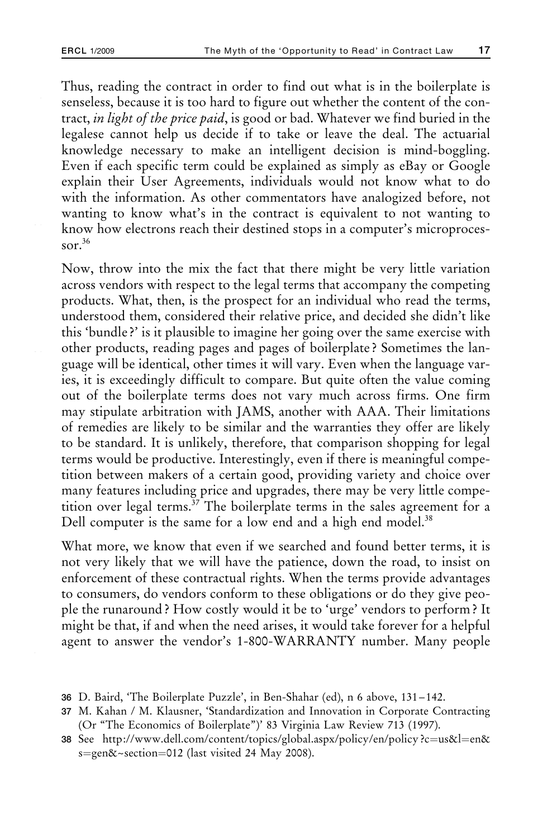Thus, reading the contract in order to find out what is in the boilerplate is senseless, because it is too hard to figure out whether the content of the contract, in light of the price paid, is good or bad. Whatever we find buried in the legalese cannot help us decide if to take or leave the deal. The actuarial knowledge necessary to make an intelligent decision is mind-boggling. Even if each specific term could be explained as simply as eBay or Google explain their User Agreements, individuals would not know what to do with the information. As other commentators have analogized before, not wanting to know what's in the contract is equivalent to not wanting to know how electrons reach their destined stops in a computer's microprocessor  $36$ 

Now, throw into the mix the fact that there might be very little variation across vendors with respect to the legal terms that accompany the competing products. What, then, is the prospect for an individual who read the terms, understood them, considered their relative price, and decided she didn't like this 'bundle?' is it plausible to imagine her going over the same exercise with other products, reading pages and pages of boilerplate? Sometimes the language will be identical, other times it will vary. Even when the language varies, it is exceedingly difficult to compare. But quite often the value coming out of the boilerplate terms does not vary much across firms. One firm may stipulate arbitration with JAMS, another with AAA. Their limitations of remedies are likely to be similar and the warranties they offer are likely to be standard. It is unlikely, therefore, that comparison shopping for legal terms would be productive. Interestingly, even if there is meaningful competition between makers of a certain good, providing variety and choice over many features including price and upgrades, there may be very little competition over legal terms.<sup>37</sup> The boilerplate terms in the sales agreement for a Dell computer is the same for a low end and a high end model.<sup>38</sup>

What more, we know that even if we searched and found better terms, it is not very likely that we will have the patience, down the road, to insist on enforcement of these contractual rights. When the terms provide advantages to consumers, do vendors conform to these obligations or do they give people the runaround? How costly would it be to 'urge' vendors to perform? It might be that, if and when the need arises, it would take forever for a helpful agent to answer the vendor's 1-800-WARRANTY number. Many people

<sup>36</sup> D. Baird, 'The Boilerplate Puzzle', in Ben-Shahar (ed), n 6 above, 131 – 142.

<sup>37</sup> M. Kahan / M. Klausner, 'Standardization and Innovation in Corporate Contracting (Or "The Economics of Boilerplate")' 83 Virginia Law Review 713 (1997).

<sup>38</sup> See [http://www.dell.com/content/topics/global.aspx/policy/en/policy?c](http://www.dell.com/content/topics/global.aspx/policy/en/policy?c=us&l=en&s=gen&~section=012ERCL)=us&l=en& s=gen&~section=[012 \(last visited 24 May 2008\).](http://www.dell.com/content/topics/global.aspx/policy/en/policy?c=us&l=en&s=gen&~section=012ERCL)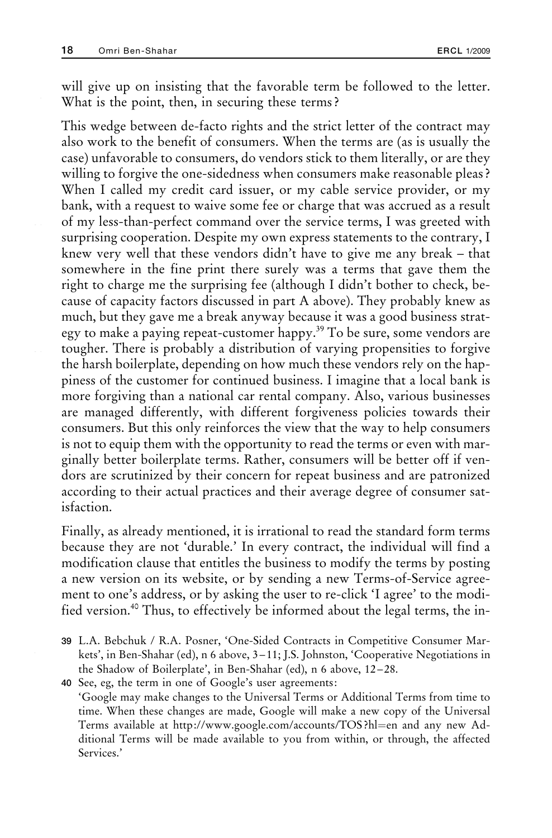will give up on insisting that the favorable term be followed to the letter. What is the point, then, in securing these terms?

This wedge between de-facto rights and the strict letter of the contract may also work to the benefit of consumers. When the terms are (as is usually the case) unfavorable to consumers, do vendors stick to them literally, or are they willing to forgive the one-sidedness when consumers make reasonable pleas? When I called my credit card issuer, or my cable service provider, or my bank, with a request to waive some fee or charge that was accrued as a result of my less-than-perfect command over the service terms, I was greeted with surprising cooperation. Despite my own express statements to the contrary, I knew very well that these vendors didn't have to give me any break – that somewhere in the fine print there surely was a terms that gave them the right to charge me the surprising fee (although I didn't bother to check, because of capacity factors discussed in part A above). They probably knew as much, but they gave me a break anyway because it was a good business strategy to make a paying repeat-customer happy.<sup>39</sup> To be sure, some vendors are tougher. There is probably a distribution of varying propensities to forgive the harsh boilerplate, depending on how much these vendors rely on the happiness of the customer for continued business. I imagine that a local bank is more forgiving than a national car rental company. Also, various businesses are managed differently, with different forgiveness policies towards their consumers. But this only reinforces the view that the way to help consumers is not to equip them with the opportunity to read the terms or even with marginally better boilerplate terms. Rather, consumers will be better off if vendors are scrutinized by their concern for repeat business and are patronized according to their actual practices and their average degree of consumer satisfaction.

Finally, as already mentioned, it is irrational to read the standard form terms because they are not 'durable.' In every contract, the individual will find a modification clause that entitles the business to modify the terms by posting a new version on its website, or by sending a new Terms-of-Service agreement to one's address, or by asking the user to re-click 'I agree' to the modified version.<sup>40</sup> Thus, to effectively be informed about the legal terms, the in-

39 L.A. Bebchuk / R.A. Posner, 'One-Sided Contracts in Competitive Consumer Markets', in Ben-Shahar (ed), n 6 above, 3 – 11; J.S. Johnston, 'Cooperative Negotiations in the Shadow of Boilerplate', in Ben-Shahar (ed), n 6 above, 12 – 28.

40 See, eg, the term in one of Google's user agreements: 'Google may make changes to the Universal Terms or Additional Terms from time to time. When these changes are made, Google will make a new copy of the Universal Terms available at http://www.google.com/accounts/TOS?hl=en and any new Additional Terms will be made available to you from within, or through, the affected Services.'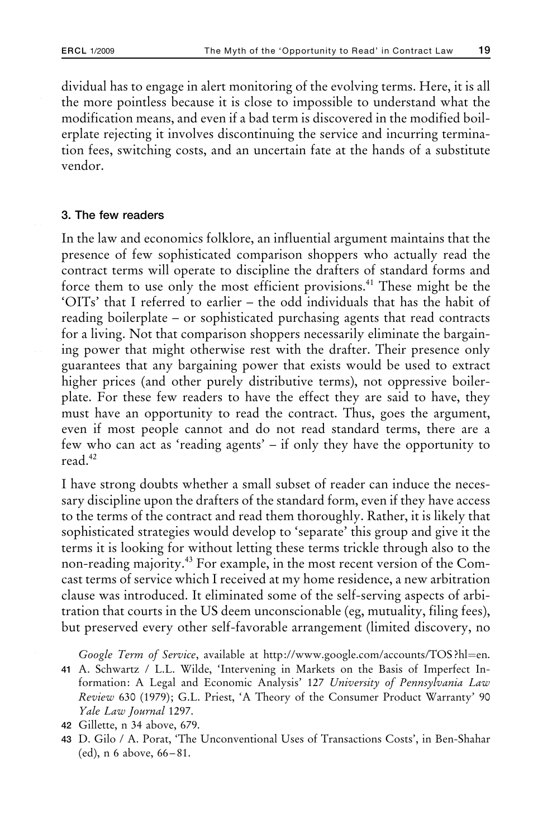dividual has to engage in alert monitoring of the evolving terms. Here, it is all the more pointless because it is close to impossible to understand what the modification means, and even if a bad term is discovered in the modified boilerplate rejecting it involves discontinuing the service and incurring termination fees, switching costs, and an uncertain fate at the hands of a substitute vendor.

#### 3. The few readers

In the law and economics folklore, an influential argument maintains that the presence of few sophisticated comparison shoppers who actually read the contract terms will operate to discipline the drafters of standard forms and force them to use only the most efficient provisions.<sup>41</sup> These might be the 'OITs' that I referred to earlier – the odd individuals that has the habit of reading boilerplate – or sophisticated purchasing agents that read contracts for a living. Not that comparison shoppers necessarily eliminate the bargaining power that might otherwise rest with the drafter. Their presence only guarantees that any bargaining power that exists would be used to extract higher prices (and other purely distributive terms), not oppressive boilerplate. For these few readers to have the effect they are said to have, they must have an opportunity to read the contract. Thus, goes the argument, even if most people cannot and do not read standard terms, there are a few who can act as 'reading agents' – if only they have the opportunity to read.42

I have strong doubts whether a small subset of reader can induce the necessary discipline upon the drafters of the standard form, even if they have access to the terms of the contract and read them thoroughly. Rather, it is likely that sophisticated strategies would develop to 'separate' this group and give it the terms it is looking for without letting these terms trickle through also to the non-reading majority.<sup>43</sup> For example, in the most recent version of the Comcast terms of service which I received at my home residence, a new arbitration clause was introduced. It eliminated some of the self-serving aspects of arbitration that courts in the US deem unconscionable (eg, mutuality, filing fees), but preserved every other self-favorable arrangement (limited discovery, no

Google Term of Service, available at http://www.google.com/accounts/TOS?hl=en.

41 A. Schwartz / L.L. Wilde, 'Intervening in Markets on the Basis of Imperfect Information: A Legal and Economic Analysis' 127 University of Pennsylvania Law Review 630 (1979); G.L. Priest, 'A Theory of the Consumer Product Warranty' 90 Yale Law Journal 1297.

- 42 Gillette, n 34 above, 679.
- 43 D. Gilo / A. Porat, 'The Unconventional Uses of Transactions Costs', in Ben-Shahar (ed), n 6 above, 66 – 81.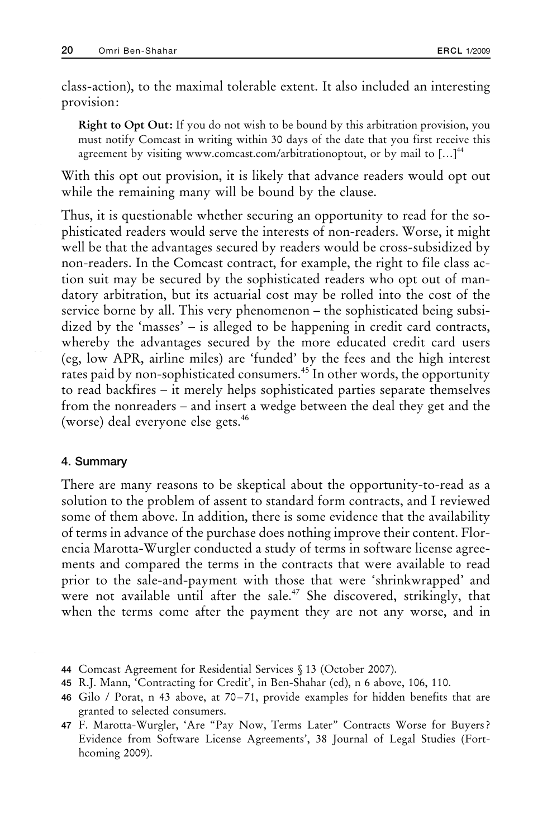class-action), to the maximal tolerable extent. It also included an interesting provision:

Right to Opt Out: If you do not wish to be bound by this arbitration provision, you must notify Comcast in writing within 30 days of the date that you first receive this agreement by visiting www.comcast.com/arbitrationoptout, or by mail to  $[\dots]^{44}$ 

With this opt out provision, it is likely that advance readers would opt out while the remaining many will be bound by the clause.

Thus, it is questionable whether securing an opportunity to read for the sophisticated readers would serve the interests of non-readers. Worse, it might well be that the advantages secured by readers would be cross-subsidized by non-readers. In the Comcast contract, for example, the right to file class action suit may be secured by the sophisticated readers who opt out of mandatory arbitration, but its actuarial cost may be rolled into the cost of the service borne by all. This very phenomenon – the sophisticated being subsidized by the 'masses' – is alleged to be happening in credit card contracts, whereby the advantages secured by the more educated credit card users (eg, low APR, airline miles) are 'funded' by the fees and the high interest rates paid by non-sophisticated consumers.<sup>45</sup> In other words, the opportunity to read backfires – it merely helps sophisticated parties separate themselves from the nonreaders – and insert a wedge between the deal they get and the (worse) deal everyone else gets.46

# 4. Summary

There are many reasons to be skeptical about the opportunity-to-read as a solution to the problem of assent to standard form contracts, and I reviewed some of them above. In addition, there is some evidence that the availability of terms in advance of the purchase does nothing improve their content. Florencia Marotta-Wurgler conducted a study of terms in software license agreements and compared the terms in the contracts that were available to read prior to the sale-and-payment with those that were 'shrinkwrapped' and were not available until after the sale.<sup>47</sup> She discovered, strikingly, that when the terms come after the payment they are not any worse, and in

- 44 Comcast Agreement for Residential Services § 13 (October 2007).
- 45 R.J. Mann, 'Contracting for Credit', in Ben-Shahar (ed), n 6 above, 106, 110.
- 46 Gilo / Porat, n 43 above, at  $70-71$ , provide examples for hidden benefits that are granted to selected consumers.
- 47 F. Marotta-Wurgler, 'Are "Pay Now, Terms Later" Contracts Worse for Buyers? Evidence from Software License Agreements', 38 Journal of Legal Studies (Forthcoming 2009).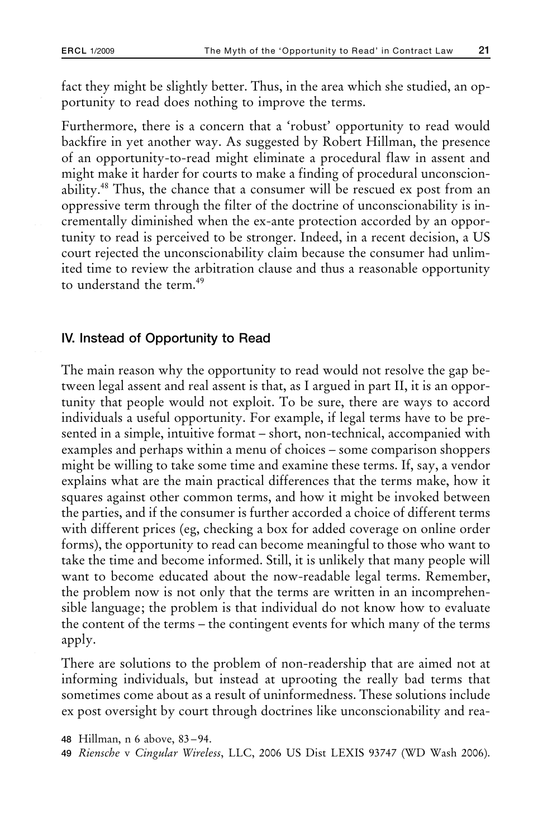fact they might be slightly better. Thus, in the area which she studied, an opportunity to read does nothing to improve the terms.

Furthermore, there is a concern that a 'robust' opportunity to read would backfire in yet another way. As suggested by Robert Hillman, the presence of an opportunity-to-read might eliminate a procedural flaw in assent and might make it harder for courts to make a finding of procedural unconscionability.<sup>48</sup> Thus, the chance that a consumer will be rescued ex post from an oppressive term through the filter of the doctrine of unconscionability is incrementally diminished when the ex-ante protection accorded by an opportunity to read is perceived to be stronger. Indeed, in a recent decision, a US court rejected the unconscionability claim because the consumer had unlimited time to review the arbitration clause and thus a reasonable opportunity to understand the term.<sup>49</sup>

# IV. Instead of Opportunity to Read

The main reason why the opportunity to read would not resolve the gap between legal assent and real assent is that, as I argued in part II, it is an opportunity that people would not exploit. To be sure, there are ways to accord individuals a useful opportunity. For example, if legal terms have to be presented in a simple, intuitive format – short, non-technical, accompanied with examples and perhaps within a menu of choices – some comparison shoppers might be willing to take some time and examine these terms. If, say, a vendor explains what are the main practical differences that the terms make, how it squares against other common terms, and how it might be invoked between the parties, and if the consumer is further accorded a choice of different terms with different prices (eg, checking a box for added coverage on online order forms), the opportunity to read can become meaningful to those who want to take the time and become informed. Still, it is unlikely that many people will want to become educated about the now-readable legal terms. Remember, the problem now is not only that the terms are written in an incomprehensible language; the problem is that individual do not know how to evaluate the content of the terms – the contingent events for which many of the terms apply.

There are solutions to the problem of non-readership that are aimed not at informing individuals, but instead at uprooting the really bad terms that sometimes come about as a result of uninformedness. These solutions include ex post oversight by court through doctrines like unconscionability and rea-

48 Hillman, n 6 above, 83 – 94.

<sup>49</sup> Riensche v Cingular Wireless, LLC, 2006 US Dist LEXIS 93747 (WD Wash 2006).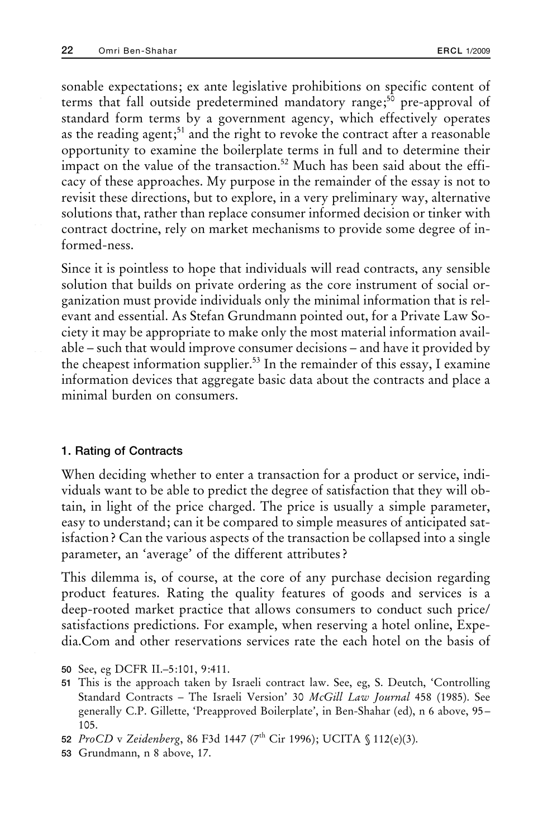sonable expectations; ex ante legislative prohibitions on specific content of terms that fall outside predetermined mandatory range;<sup>50</sup> pre-approval of standard form terms by a government agency, which effectively operates as the reading agent;<sup>51</sup> and the right to revoke the contract after a reasonable opportunity to examine the boilerplate terms in full and to determine their impact on the value of the transaction.<sup>52</sup> Much has been said about the efficacy of these approaches. My purpose in the remainder of the essay is not to revisit these directions, but to explore, in a very preliminary way, alternative solutions that, rather than replace consumer informed decision or tinker with contract doctrine, rely on market mechanisms to provide some degree of informed-ness.

Since it is pointless to hope that individuals will read contracts, any sensible solution that builds on private ordering as the core instrument of social organization must provide individuals only the minimal information that is relevant and essential. As Stefan Grundmann pointed out, for a Private Law Society it may be appropriate to make only the most material information available – such that would improve consumer decisions – and have it provided by the cheapest information supplier.53 In the remainder of this essay, I examine information devices that aggregate basic data about the contracts and place a minimal burden on consumers.

#### 1. Rating of Contracts

When deciding whether to enter a transaction for a product or service, individuals want to be able to predict the degree of satisfaction that they will obtain, in light of the price charged. The price is usually a simple parameter, easy to understand; can it be compared to simple measures of anticipated satisfaction? Can the various aspects of the transaction be collapsed into a single parameter, an 'average' of the different attributes?

This dilemma is, of course, at the core of any purchase decision regarding product features. Rating the quality features of goods and services is a deep-rooted market practice that allows consumers to conduct such price/ satisfactions predictions. For example, when reserving a hotel online, Expedia.Com and other reservations services rate the each hotel on the basis of

- 50 See, eg DCFR II.–5:101, 9:411.
- 51 This is the approach taken by Israeli contract law. See, eg, S. Deutch, 'Controlling Standard Contracts – The Israeli Version' 30 McGill Law Journal 458 (1985). See generally C.P. Gillette, 'Preapproved Boilerplate', in Ben-Shahar (ed), n 6 above, 95 – 105.
- 52 ProCD v Zeidenberg, 86 F3d 1447 (7<sup>th</sup> Cir 1996); UCITA § 112(e)(3).
- 53 Grundmann, n 8 above, 17.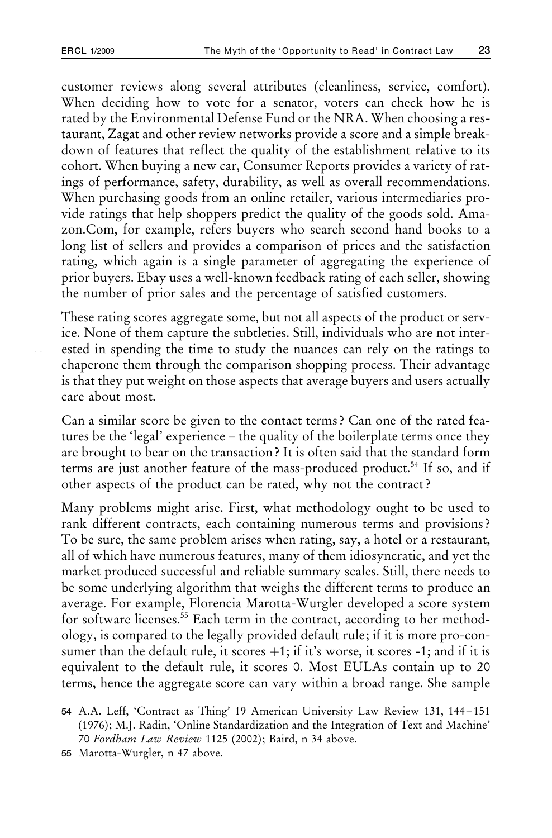customer reviews along several attributes (cleanliness, service, comfort). When deciding how to vote for a senator, voters can check how he is rated by the Environmental Defense Fund or the NRA. When choosing a restaurant, Zagat and other review networks provide a score and a simple breakdown of features that reflect the quality of the establishment relative to its cohort. When buying a new car, Consumer Reports provides a variety of ratings of performance, safety, durability, as well as overall recommendations. When purchasing goods from an online retailer, various intermediaries provide ratings that help shoppers predict the quality of the goods sold. Amazon.Com, for example, refers buyers who search second hand books to a long list of sellers and provides a comparison of prices and the satisfaction rating, which again is a single parameter of aggregating the experience of prior buyers. Ebay uses a well-known feedback rating of each seller, showing the number of prior sales and the percentage of satisfied customers.

These rating scores aggregate some, but not all aspects of the product or service. None of them capture the subtleties. Still, individuals who are not interested in spending the time to study the nuances can rely on the ratings to chaperone them through the comparison shopping process. Their advantage is that they put weight on those aspects that average buyers and users actually care about most.

Can a similar score be given to the contact terms? Can one of the rated features be the 'legal' experience – the quality of the boilerplate terms once they are brought to bear on the transaction? It is often said that the standard form terms are just another feature of the mass-produced product.<sup>54</sup> If so, and if other aspects of the product can be rated, why not the contract?

Many problems might arise. First, what methodology ought to be used to rank different contracts, each containing numerous terms and provisions? To be sure, the same problem arises when rating, say, a hotel or a restaurant, all of which have numerous features, many of them idiosyncratic, and yet the market produced successful and reliable summary scales. Still, there needs to be some underlying algorithm that weighs the different terms to produce an average. For example, Florencia Marotta-Wurgler developed a score system for software licenses.<sup>55</sup> Each term in the contract, according to her methodology, is compared to the legally provided default rule; if it is more pro-consumer than the default rule, it scores  $+1$ ; if it's worse, it scores  $-1$ ; and if it is equivalent to the default rule, it scores 0. Most EULAs contain up to 20 terms, hence the aggregate score can vary within a broad range. She sample

<sup>54</sup> A.A. Leff, 'Contract as Thing' 19 American University Law Review 131, 144 – 151 (1976); M.J. Radin, 'Online Standardization and the Integration of Text and Machine' 70 Fordham Law Review 1125 (2002); Baird, n 34 above.

<sup>55</sup> Marotta-Wurgler, n 47 above.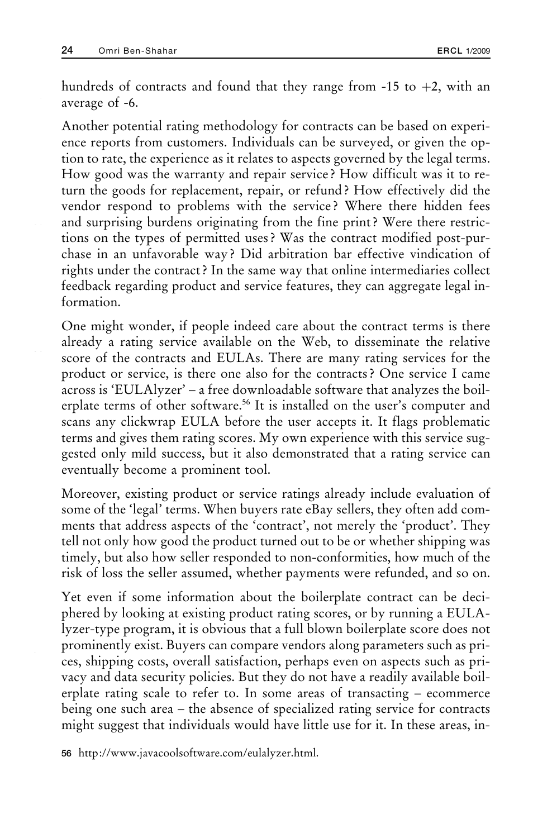hundreds of contracts and found that they range from -15 to  $+2$ , with an average of -6.

Another potential rating methodology for contracts can be based on experience reports from customers. Individuals can be surveyed, or given the option to rate, the experience as it relates to aspects governed by the legal terms. How good was the warranty and repair service? How difficult was it to return the goods for replacement, repair, or refund? How effectively did the vendor respond to problems with the service? Where there hidden fees and surprising burdens originating from the fine print? Were there restrictions on the types of permitted uses? Was the contract modified post-purchase in an unfavorable way? Did arbitration bar effective vindication of rights under the contract? In the same way that online intermediaries collect feedback regarding product and service features, they can aggregate legal information.

One might wonder, if people indeed care about the contract terms is there already a rating service available on the Web, to disseminate the relative score of the contracts and EULAs. There are many rating services for the product or service, is there one also for the contracts? One service I came across is 'EULAlyzer' – a free downloadable software that analyzes the boilerplate terms of other software.<sup>56</sup> It is installed on the user's computer and scans any clickwrap EULA before the user accepts it. It flags problematic terms and gives them rating scores. My own experience with this service suggested only mild success, but it also demonstrated that a rating service can eventually become a prominent tool.

Moreover, existing product or service ratings already include evaluation of some of the 'legal' terms. When buyers rate eBay sellers, they often add comments that address aspects of the 'contract', not merely the 'product'. They tell not only how good the product turned out to be or whether shipping was timely, but also how seller responded to non-conformities, how much of the risk of loss the seller assumed, whether payments were refunded, and so on.

Yet even if some information about the boilerplate contract can be deciphered by looking at existing product rating scores, or by running a EULAlyzer-type program, it is obvious that a full blown boilerplate score does not prominently exist. Buyers can compare vendors along parameters such as prices, shipping costs, overall satisfaction, perhaps even on aspects such as privacy and data security policies. But they do not have a readily available boilerplate rating scale to refer to. In some areas of transacting – ecommerce being one such area – the absence of specialized rating service for contracts might suggest that individuals would have little use for it. In these areas, in-

56 http://www.javacoolsoftware.com/eulalyzer.html.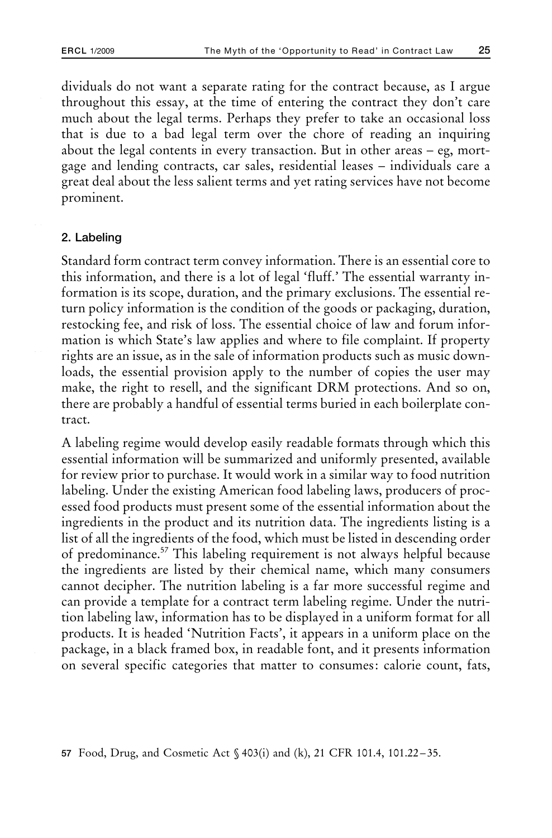dividuals do not want a separate rating for the contract because, as I argue throughout this essay, at the time of entering the contract they don't care much about the legal terms. Perhaps they prefer to take an occasional loss that is due to a bad legal term over the chore of reading an inquiring about the legal contents in every transaction. But in other areas – eg, mortgage and lending contracts, car sales, residential leases – individuals care a great deal about the less salient terms and yet rating services have not become prominent.

# 2. Labeling

Standard form contract term convey information. There is an essential core to this information, and there is a lot of legal 'fluff.' The essential warranty information is its scope, duration, and the primary exclusions. The essential return policy information is the condition of the goods or packaging, duration, restocking fee, and risk of loss. The essential choice of law and forum information is which State's law applies and where to file complaint. If property rights are an issue, as in the sale of information products such as music downloads, the essential provision apply to the number of copies the user may make, the right to resell, and the significant DRM protections. And so on, there are probably a handful of essential terms buried in each boilerplate contract.

A labeling regime would develop easily readable formats through which this essential information will be summarized and uniformly presented, available for review prior to purchase. It would work in a similar way to food nutrition labeling. Under the existing American food labeling laws, producers of processed food products must present some of the essential information about the ingredients in the product and its nutrition data. The ingredients listing is a list of all the ingredients of the food, which must be listed in descending order of predominance.<sup>57</sup> This labeling requirement is not always helpful because the ingredients are listed by their chemical name, which many consumers cannot decipher. The nutrition labeling is a far more successful regime and can provide a template for a contract term labeling regime. Under the nutrition labeling law, information has to be displayed in a uniform format for all products. It is headed 'Nutrition Facts', it appears in a uniform place on the package, in a black framed box, in readable font, and it presents information on several specific categories that matter to consumes: calorie count, fats,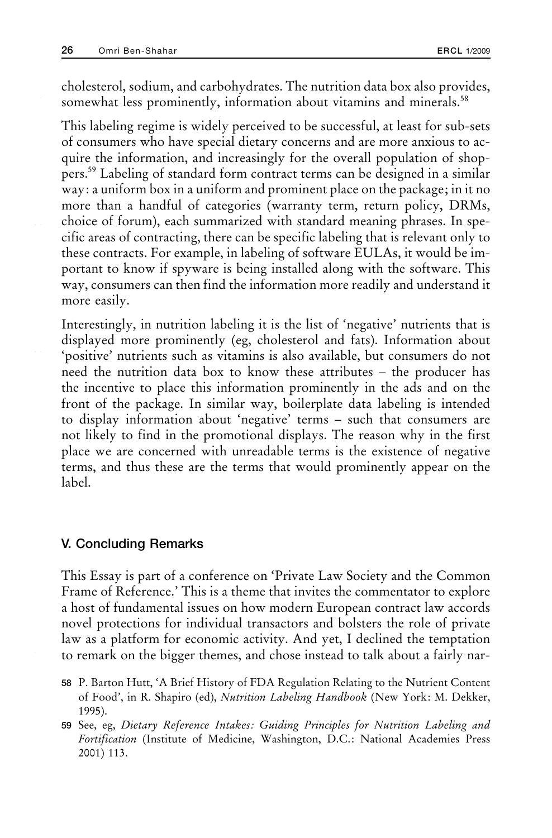cholesterol, sodium, and carbohydrates. The nutrition data box also provides, somewhat less prominently, information about vitamins and minerals.<sup>58</sup>

This labeling regime is widely perceived to be successful, at least for sub-sets of consumers who have special dietary concerns and are more anxious to acquire the information, and increasingly for the overall population of shoppers.59 Labeling of standard form contract terms can be designed in a similar way: a uniform box in a uniform and prominent place on the package; in it no more than a handful of categories (warranty term, return policy, DRMs, choice of forum), each summarized with standard meaning phrases. In specific areas of contracting, there can be specific labeling that is relevant only to these contracts. For example, in labeling of software EULAs, it would be important to know if spyware is being installed along with the software. This way, consumers can then find the information more readily and understand it more easily.

Interestingly, in nutrition labeling it is the list of 'negative' nutrients that is displayed more prominently (eg, cholesterol and fats). Information about 'positive' nutrients such as vitamins is also available, but consumers do not need the nutrition data box to know these attributes – the producer has the incentive to place this information prominently in the ads and on the front of the package. In similar way, boilerplate data labeling is intended to display information about 'negative' terms – such that consumers are not likely to find in the promotional displays. The reason why in the first place we are concerned with unreadable terms is the existence of negative terms, and thus these are the terms that would prominently appear on the label.

# V. Concluding Remarks

This Essay is part of a conference on 'Private Law Society and the Common Frame of Reference.' This is a theme that invites the commentator to explore a host of fundamental issues on how modern European contract law accords novel protections for individual transactors and bolsters the role of private law as a platform for economic activity. And yet, I declined the temptation to remark on the bigger themes, and chose instead to talk about a fairly nar-

<sup>58</sup> P. Barton Hutt, 'A Brief History of FDA Regulation Relating to the Nutrient Content of Food', in R. Shapiro (ed), Nutrition Labeling Handbook (New York: M. Dekker, 1995).

<sup>59</sup> See, eg, Dietary Reference Intakes: Guiding Principles for Nutrition Labeling and Fortification (Institute of Medicine, Washington, D.C.: National Academies Press 2001) 113.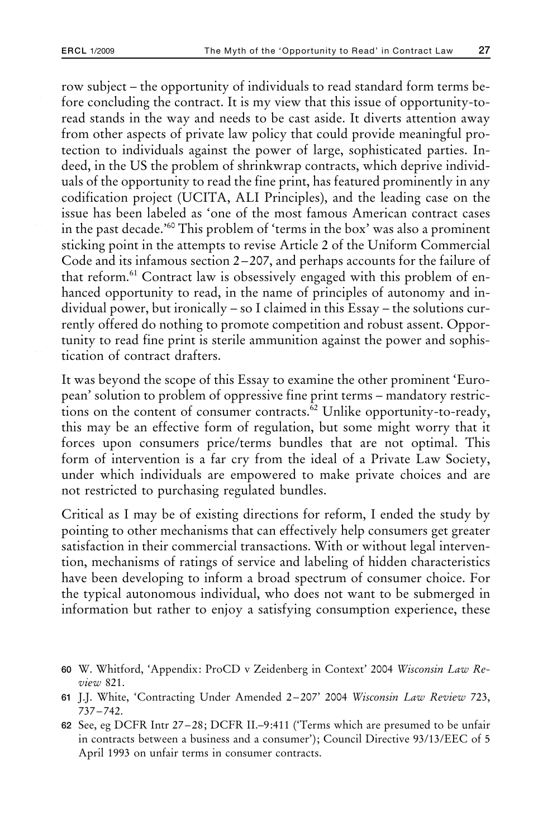row subject – the opportunity of individuals to read standard form terms before concluding the contract. It is my view that this issue of opportunity-toread stands in the way and needs to be cast aside. It diverts attention away from other aspects of private law policy that could provide meaningful protection to individuals against the power of large, sophisticated parties. Indeed, in the US the problem of shrinkwrap contracts, which deprive individuals of the opportunity to read the fine print, has featured prominently in any codification project (UCITA, ALI Principles), and the leading case on the issue has been labeled as 'one of the most famous American contract cases in the past decade.'60 This problem of 'terms in the box' was also a prominent sticking point in the attempts to revise Article 2 of the Uniform Commercial Code and its infamous section 2 – 207, and perhaps accounts for the failure of that reform.<sup>61</sup> Contract law is obsessively engaged with this problem of enhanced opportunity to read, in the name of principles of autonomy and individual power, but ironically – so I claimed in this Essay – the solutions currently offered do nothing to promote competition and robust assent. Opportunity to read fine print is sterile ammunition against the power and sophistication of contract drafters.

It was beyond the scope of this Essay to examine the other prominent 'European' solution to problem of oppressive fine print terms – mandatory restrictions on the content of consumer contracts. ${}^{\hat{6}2}$  Unlike opportunity-to-ready, this may be an effective form of regulation, but some might worry that it forces upon consumers price/terms bundles that are not optimal. This form of intervention is a far cry from the ideal of a Private Law Society, under which individuals are empowered to make private choices and are not restricted to purchasing regulated bundles.

Critical as I may be of existing directions for reform, I ended the study by pointing to other mechanisms that can effectively help consumers get greater satisfaction in their commercial transactions. With or without legal intervention, mechanisms of ratings of service and labeling of hidden characteristics have been developing to inform a broad spectrum of consumer choice. For the typical autonomous individual, who does not want to be submerged in information but rather to enjoy a satisfying consumption experience, these

- 60 W. Whitford, 'Appendix: ProCD v Zeidenberg in Context' 2004 Wisconsin Law Review 821.
- 61 J.J. White, 'Contracting Under Amended 2 207' 2004 Wisconsin Law Review 723, 737 – 742.
- 62 See, eg DCFR Intr 27 28; DCFR II.–9:411 ('Terms which are presumed to be unfair in contracts between a business and a consumer'); Council Directive 93/13/EEC of 5 April 1993 on unfair terms in consumer contracts.